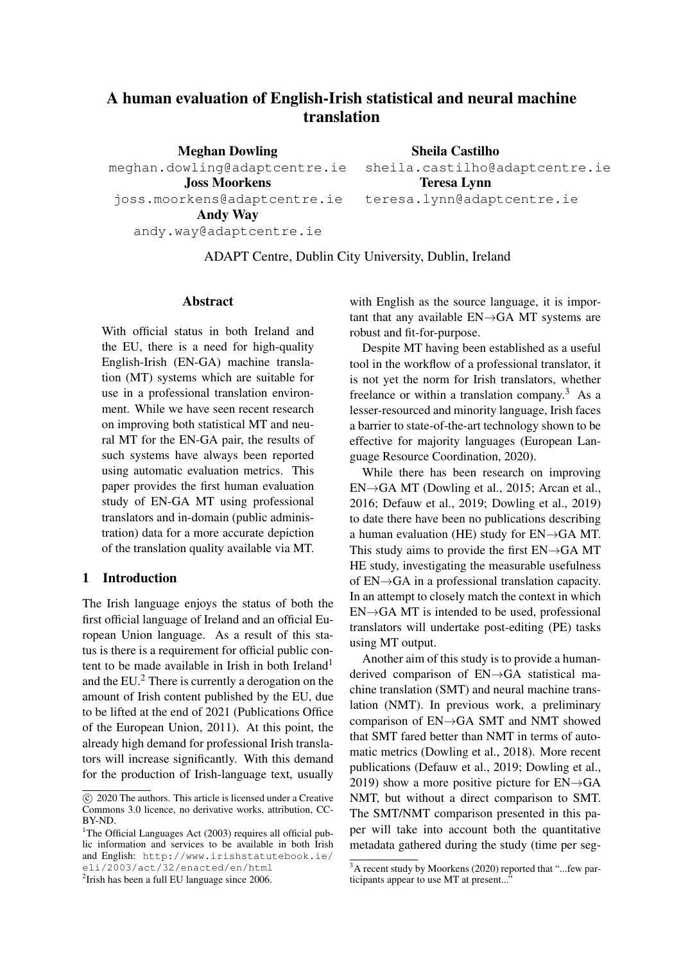# A human evaluation of English-Irish statistical and neural machine translation

Meghan Dowling meghan.dowling@adaptcentre.ie Joss Moorkens joss.moorkens@adaptcentre.ie Andy Way andy.way@adaptcentre.ie Sheila Castilho sheila.castilho@adaptcentre.ie Teresa Lynn teresa.lynn@adaptcentre.ie

ADAPT Centre, Dublin City University, Dublin, Ireland

#### Abstract

With official status in both Ireland and the EU, there is a need for high-quality English-Irish (EN-GA) machine translation (MT) systems which are suitable for use in a professional translation environment. While we have seen recent research on improving both statistical MT and neural MT for the EN-GA pair, the results of such systems have always been reported using automatic evaluation metrics. This paper provides the first human evaluation study of EN-GA MT using professional translators and in-domain (public administration) data for a more accurate depiction of the translation quality available via MT.

## 1 Introduction

The Irish language enjoys the status of both the first official language of Ireland and an official European Union language. As a result of this status is there is a requirement for official public content to be made available in Irish in both Ireland<sup>1</sup> and the EU.<sup>2</sup> There is currently a derogation on the amount of Irish content published by the EU, due to be lifted at the end of 2021 (Publications Office of the European Union, 2011). At this point, the already high demand for professional Irish translators will increase significantly. With this demand for the production of Irish-language text, usually

<sup>1</sup>The Official Languages Act (2003) requires all official public information and services to be available in both Irish and English: http://www.irishstatutebook.ie/ eli/2003/act/32/enacted/en/html

with English as the source language, it is important that any available EN→GA MT systems are robust and fit-for-purpose.

Despite MT having been established as a useful tool in the workflow of a professional translator, it is not yet the norm for Irish translators, whether freelance or within a translation company.<sup>3</sup> As a lesser-resourced and minority language, Irish faces a barrier to state-of-the-art technology shown to be effective for majority languages (European Language Resource Coordination, 2020).

While there has been research on improving EN→GA MT (Dowling et al., 2015; Arcan et al., 2016; Defauw et al., 2019; Dowling et al., 2019) to date there have been no publications describing a human evaluation (HE) study for EN→GA MT. This study aims to provide the first  $EN\rightarrow GA$  MT HE study, investigating the measurable usefulness of EN→GA in a professional translation capacity. In an attempt to closely match the context in which  $EN \rightarrow GA$  MT is intended to be used, professional translators will undertake post-editing (PE) tasks using MT output.

Another aim of this study is to provide a humanderived comparison of EN→GA statistical machine translation (SMT) and neural machine translation (NMT). In previous work, a preliminary comparison of EN→GA SMT and NMT showed that SMT fared better than NMT in terms of automatic metrics (Dowling et al., 2018). More recent publications (Defauw et al., 2019; Dowling et al., 2019) show a more positive picture for  $EN\rightarrow GA$ NMT, but without a direct comparison to SMT. The SMT/NMT comparison presented in this paper will take into account both the quantitative metadata gathered during the study (time per seg-

c 2020 The authors. This article is licensed under a Creative Commons 3.0 licence, no derivative works, attribution, CC-BY-ND.

<sup>&</sup>lt;sup>2</sup> Irish has been a full EU language since 2006.

<sup>&</sup>lt;sup>3</sup>A recent study by Moorkens (2020) reported that "...few participants appear to use MT at present...'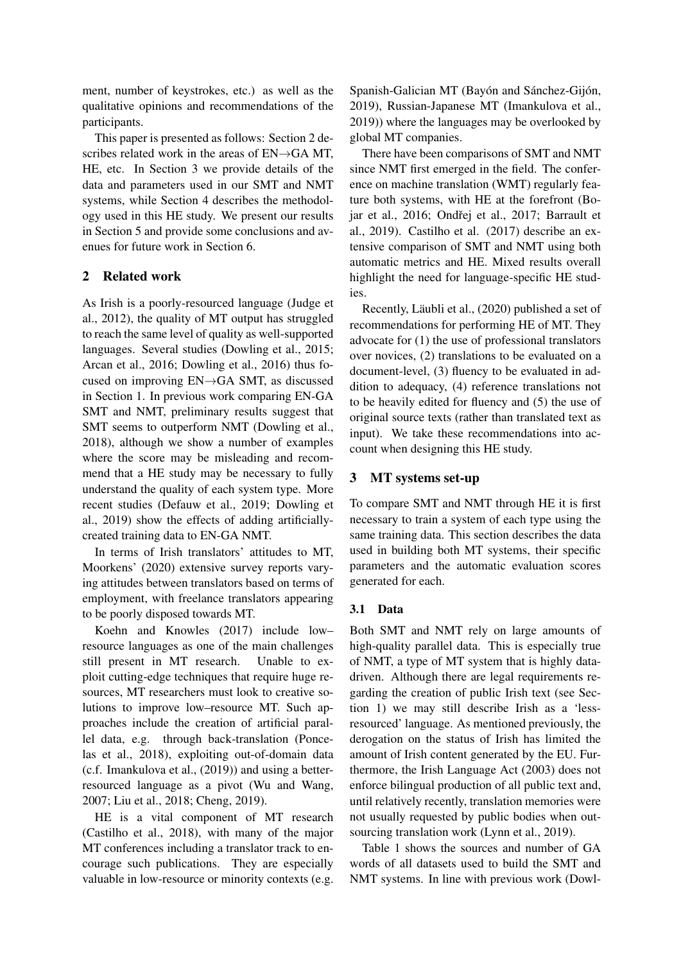ment, number of keystrokes, etc.) as well as the qualitative opinions and recommendations of the participants.

This paper is presented as follows: Section 2 describes related work in the areas of EN→GA MT, HE, etc. In Section 3 we provide details of the data and parameters used in our SMT and NMT systems, while Section 4 describes the methodology used in this HE study. We present our results in Section 5 and provide some conclusions and avenues for future work in Section 6.

# 2 Related work

As Irish is a poorly-resourced language (Judge et al., 2012), the quality of MT output has struggled to reach the same level of quality as well-supported languages. Several studies (Dowling et al., 2015; Arcan et al., 2016; Dowling et al., 2016) thus focused on improving EN→GA SMT, as discussed in Section 1. In previous work comparing EN-GA SMT and NMT, preliminary results suggest that SMT seems to outperform NMT (Dowling et al., 2018), although we show a number of examples where the score may be misleading and recommend that a HE study may be necessary to fully understand the quality of each system type. More recent studies (Defauw et al., 2019; Dowling et al., 2019) show the effects of adding artificiallycreated training data to EN-GA NMT.

In terms of Irish translators' attitudes to MT, Moorkens' (2020) extensive survey reports varying attitudes between translators based on terms of employment, with freelance translators appearing to be poorly disposed towards MT.

Koehn and Knowles (2017) include low– resource languages as one of the main challenges still present in MT research. Unable to exploit cutting-edge techniques that require huge resources, MT researchers must look to creative solutions to improve low–resource MT. Such approaches include the creation of artificial parallel data, e.g. through back-translation (Poncelas et al., 2018), exploiting out-of-domain data (c.f. Imankulova et al., (2019)) and using a betterresourced language as a pivot (Wu and Wang, 2007; Liu et al., 2018; Cheng, 2019).

HE is a vital component of MT research (Castilho et al., 2018), with many of the major MT conferences including a translator track to encourage such publications. They are especially valuable in low-resource or minority contexts (e.g. Spanish-Galician MT (Bayón and Sánchez-Gijón, 2019), Russian-Japanese MT (Imankulova et al., 2019)) where the languages may be overlooked by global MT companies.

There have been comparisons of SMT and NMT since NMT first emerged in the field. The conference on machine translation (WMT) regularly feature both systems, with HE at the forefront (Bojar et al., 2016; Ondřej et al., 2017; Barrault et al., 2019). Castilho et al. (2017) describe an extensive comparison of SMT and NMT using both automatic metrics and HE. Mixed results overall highlight the need for language-specific HE studies.

Recently, Läubli et al., (2020) published a set of recommendations for performing HE of MT. They advocate for (1) the use of professional translators over novices, (2) translations to be evaluated on a document-level, (3) fluency to be evaluated in addition to adequacy, (4) reference translations not to be heavily edited for fluency and (5) the use of original source texts (rather than translated text as input). We take these recommendations into account when designing this HE study.

# 3 MT systems set-up

To compare SMT and NMT through HE it is first necessary to train a system of each type using the same training data. This section describes the data used in building both MT systems, their specific parameters and the automatic evaluation scores generated for each.

# 3.1 Data

Both SMT and NMT rely on large amounts of high-quality parallel data. This is especially true of NMT, a type of MT system that is highly datadriven. Although there are legal requirements regarding the creation of public Irish text (see Section 1) we may still describe Irish as a 'lessresourced' language. As mentioned previously, the derogation on the status of Irish has limited the amount of Irish content generated by the EU. Furthermore, the Irish Language Act (2003) does not enforce bilingual production of all public text and, until relatively recently, translation memories were not usually requested by public bodies when outsourcing translation work (Lynn et al., 2019).

Table 1 shows the sources and number of GA words of all datasets used to build the SMT and NMT systems. In line with previous work (Dowl-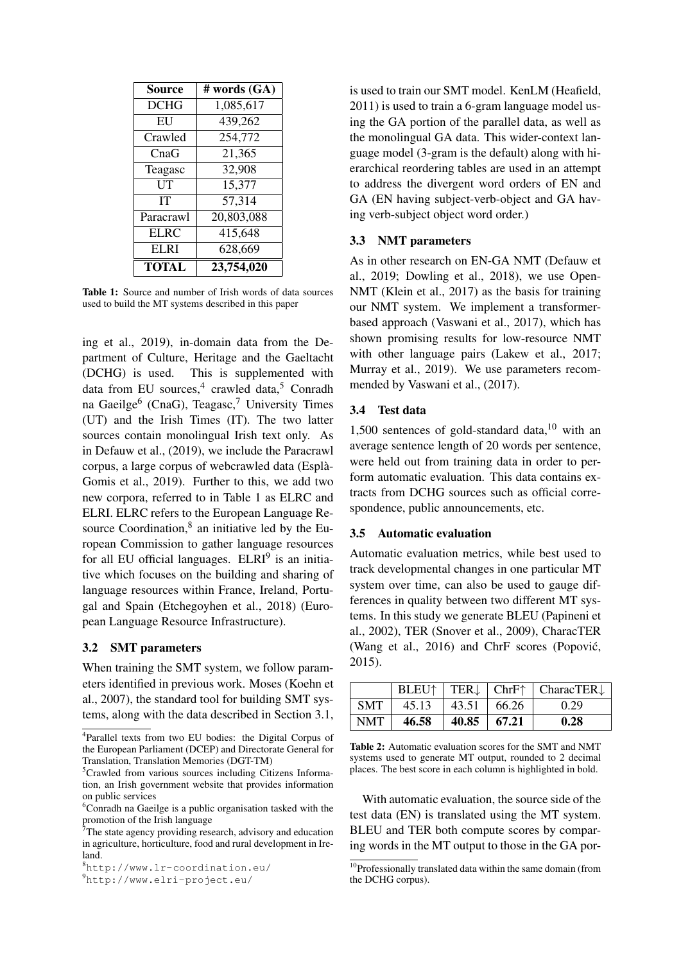| Source      | # words (GA) |
|-------------|--------------|
| <b>DCHG</b> | 1,085,617    |
| EU          | 439,262      |
| Crawled     | 254,772      |
| CnaG        | 21,365       |
| Teagasc     | 32,908       |
| UT          | 15,377       |
| IТ          | 57,314       |
| Paracrawl   | 20,803,088   |
| <b>ELRC</b> | 415,648      |
| ELRI        | 628,669      |
| TOTAL       | 23,754,020   |

Table 1: Source and number of Irish words of data sources used to build the MT systems described in this paper

ing et al., 2019), in-domain data from the Department of Culture, Heritage and the Gaeltacht (DCHG) is used. This is supplemented with data from EU sources,<sup>4</sup> crawled data,<sup>5</sup> Conradh na Gaeilge<sup>6</sup> (CnaG), Teagasc,<sup>7</sup> University Times (UT) and the Irish Times (IT). The two latter sources contain monolingual Irish text only. As in Defauw et al., (2019), we include the Paracrawl corpus, a large corpus of webcrawled data (Espla-` Gomis et al., 2019). Further to this, we add two new corpora, referred to in Table 1 as ELRC and ELRI. ELRC refers to the European Language Resource Coordination, $8$  an initiative led by the European Commission to gather language resources for all EU official languages. ELRI<sup>9</sup> is an initiative which focuses on the building and sharing of language resources within France, Ireland, Portugal and Spain (Etchegoyhen et al., 2018) (European Language Resource Infrastructure).

## 3.2 SMT parameters

When training the SMT system, we follow parameters identified in previous work. Moses (Koehn et al., 2007), the standard tool for building SMT systems, along with the data described in Section 3.1,

<sup>9</sup>http://www.elri-project.eu/

is used to train our SMT model. KenLM (Heafield, 2011) is used to train a 6-gram language model using the GA portion of the parallel data, as well as the monolingual GA data. This wider-context language model (3-gram is the default) along with hierarchical reordering tables are used in an attempt to address the divergent word orders of EN and GA (EN having subject-verb-object and GA having verb-subject object word order.)

#### 3.3 NMT parameters

As in other research on EN-GA NMT (Defauw et al., 2019; Dowling et al., 2018), we use Open-NMT (Klein et al., 2017) as the basis for training our NMT system. We implement a transformerbased approach (Vaswani et al., 2017), which has shown promising results for low-resource NMT with other language pairs (Lakew et al., 2017; Murray et al., 2019). We use parameters recommended by Vaswani et al., (2017).

## 3.4 Test data

1,500 sentences of gold-standard data, $10$  with an average sentence length of 20 words per sentence, were held out from training data in order to perform automatic evaluation. This data contains extracts from DCHG sources such as official correspondence, public announcements, etc.

#### 3.5 Automatic evaluation

Automatic evaluation metrics, while best used to track developmental changes in one particular MT system over time, can also be used to gauge differences in quality between two different MT systems. In this study we generate BLEU (Papineni et al., 2002), TER (Snover et al., 2009), CharacTER (Wang et al., 2016) and ChrF scores (Popovic,´ 2015).

|            | BLEU <sup>↑</sup> |       |       | TER $\downarrow$   ChrF $\uparrow$   CharacTER $\downarrow$ |
|------------|-------------------|-------|-------|-------------------------------------------------------------|
| <b>SMT</b> | 45.13             | 43.51 | 66.26 | 0.29                                                        |
| NMT        | 46.58             | 40.85 | 67.21 | 0.28                                                        |

Table 2: Automatic evaluation scores for the SMT and NMT systems used to generate MT output, rounded to 2 decimal places. The best score in each column is highlighted in bold.

With automatic evaluation, the source side of the test data (EN) is translated using the MT system. BLEU and TER both compute scores by comparing words in the MT output to those in the GA por-

<sup>4</sup> Parallel texts from two EU bodies: the Digital Corpus of the European Parliament (DCEP) and Directorate General for Translation, Translation Memories (DGT-TM)

<sup>5</sup>Crawled from various sources including Citizens Information, an Irish government website that provides information on public services

 $6$ Conradh na Gaeilge is a public organisation tasked with the promotion of the Irish language

 $7$ The state agency providing research, advisory and education in agriculture, horticulture, food and rural development in Ireland.

<sup>8</sup>http://www.lr-coordination.eu/

<sup>&</sup>lt;sup>10</sup>Professionally translated data within the same domain (from the DCHG corpus).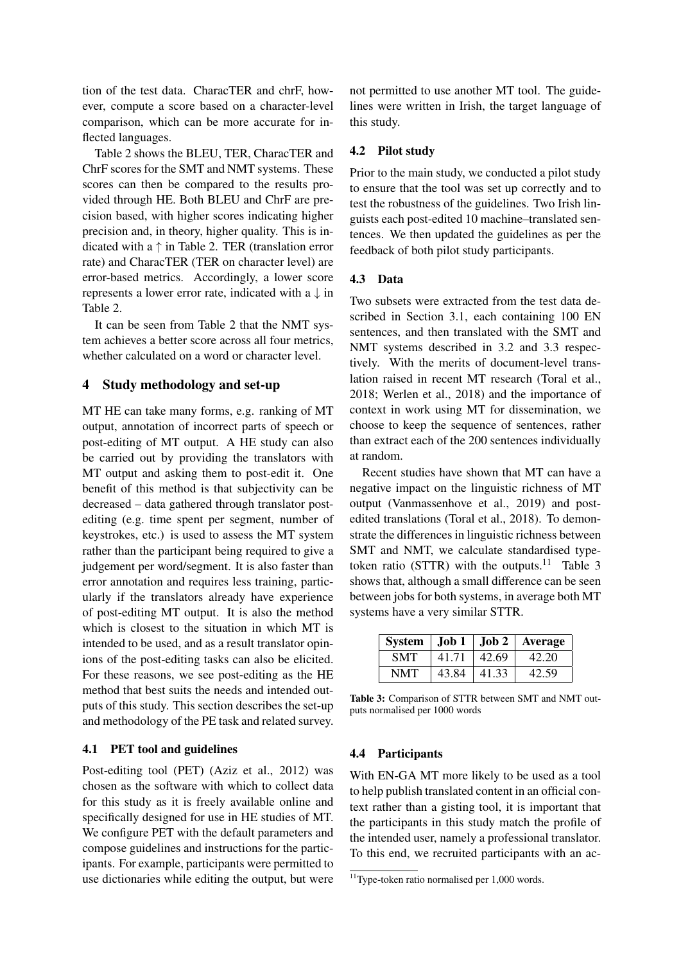tion of the test data. CharacTER and chrF, however, compute a score based on a character-level comparison, which can be more accurate for inflected languages.

Table 2 shows the BLEU, TER, CharacTER and ChrF scores for the SMT and NMT systems. These scores can then be compared to the results provided through HE. Both BLEU and ChrF are precision based, with higher scores indicating higher precision and, in theory, higher quality. This is indicated with a  $\uparrow$  in Table 2. TER (translation error rate) and CharacTER (TER on character level) are error-based metrics. Accordingly, a lower score represents a lower error rate, indicated with a  $\downarrow$  in Table 2.

It can be seen from Table 2 that the NMT system achieves a better score across all four metrics, whether calculated on a word or character level.

## 4 Study methodology and set-up

MT HE can take many forms, e.g. ranking of MT output, annotation of incorrect parts of speech or post-editing of MT output. A HE study can also be carried out by providing the translators with MT output and asking them to post-edit it. One benefit of this method is that subjectivity can be decreased – data gathered through translator postediting (e.g. time spent per segment, number of keystrokes, etc.) is used to assess the MT system rather than the participant being required to give a judgement per word/segment. It is also faster than error annotation and requires less training, particularly if the translators already have experience of post-editing MT output. It is also the method which is closest to the situation in which MT is intended to be used, and as a result translator opinions of the post-editing tasks can also be elicited. For these reasons, we see post-editing as the HE method that best suits the needs and intended outputs of this study. This section describes the set-up and methodology of the PE task and related survey.

## 4.1 PET tool and guidelines

Post-editing tool (PET) (Aziz et al., 2012) was chosen as the software with which to collect data for this study as it is freely available online and specifically designed for use in HE studies of MT. We configure PET with the default parameters and compose guidelines and instructions for the participants. For example, participants were permitted to use dictionaries while editing the output, but were

not permitted to use another MT tool. The guidelines were written in Irish, the target language of this study.

## 4.2 Pilot study

Prior to the main study, we conducted a pilot study to ensure that the tool was set up correctly and to test the robustness of the guidelines. Two Irish linguists each post-edited 10 machine–translated sentences. We then updated the guidelines as per the feedback of both pilot study participants.

#### 4.3 Data

Two subsets were extracted from the test data described in Section 3.1, each containing 100 EN sentences, and then translated with the SMT and NMT systems described in 3.2 and 3.3 respectively. With the merits of document-level translation raised in recent MT research (Toral et al., 2018; Werlen et al., 2018) and the importance of context in work using MT for dissemination, we choose to keep the sequence of sentences, rather than extract each of the 200 sentences individually at random.

Recent studies have shown that MT can have a negative impact on the linguistic richness of MT output (Vanmassenhove et al., 2019) and postedited translations (Toral et al., 2018). To demonstrate the differences in linguistic richness between SMT and NMT, we calculate standardised typetoken ratio (STTR) with the outputs.<sup>11</sup> Table 3 shows that, although a small difference can be seen between jobs for both systems, in average both MT systems have a very similar STTR.

| <b>System</b> | $\vert$ Job 1 | $ $ Job 2 $ $ | Average |
|---------------|---------------|---------------|---------|
| <b>SMT</b>    | 41.71         | 42.69         | 42.20   |
| <b>NMT</b>    | 43.84         | 41.33         | 42.59   |

Table 3: Comparison of STTR between SMT and NMT outputs normalised per 1000 words

## 4.4 Participants

With EN-GA MT more likely to be used as a tool to help publish translated content in an official context rather than a gisting tool, it is important that the participants in this study match the profile of the intended user, namely a professional translator. To this end, we recruited participants with an ac-

<sup>&</sup>lt;sup>11</sup>Type-token ratio normalised per 1,000 words.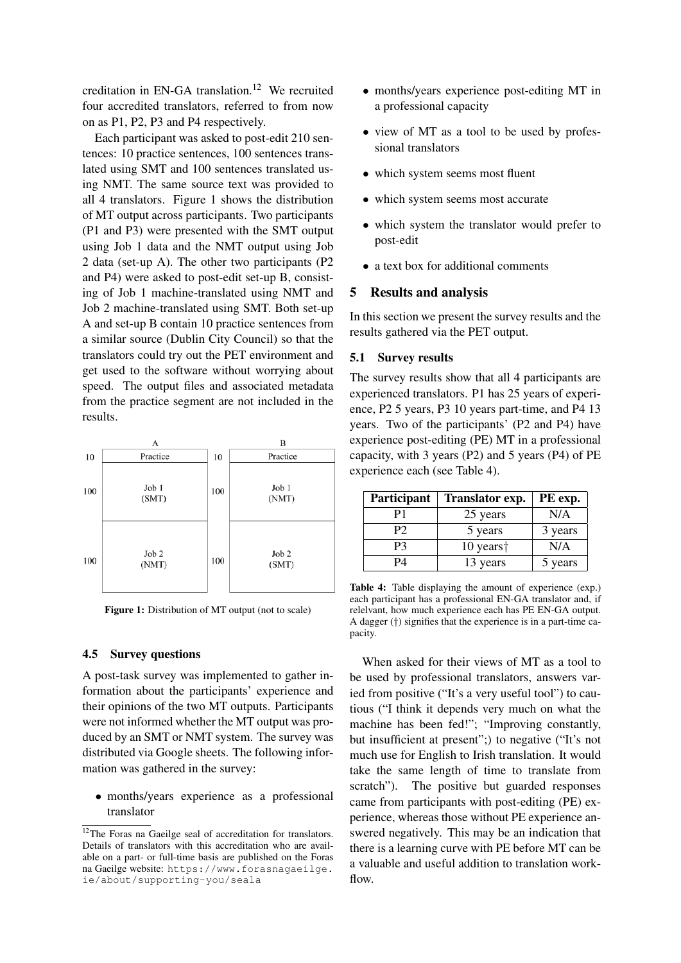creditation in EN-GA translation.<sup>12</sup> We recruited four accredited translators, referred to from now on as P1, P2, P3 and P4 respectively.

Each participant was asked to post-edit 210 sentences: 10 practice sentences, 100 sentences translated using SMT and 100 sentences translated using NMT. The same source text was provided to all 4 translators. Figure 1 shows the distribution of MT output across participants. Two participants (P1 and P3) were presented with the SMT output using Job 1 data and the NMT output using Job 2 data (set-up A). The other two participants (P2 and P4) were asked to post-edit set-up B, consisting of Job 1 machine-translated using NMT and Job 2 machine-translated using SMT. Both set-up A and set-up B contain 10 practice sentences from a similar source (Dublin City Council) so that the translators could try out the PET environment and get used to the software without worrying about speed. The output files and associated metadata from the practice segment are not included in the results.



Figure 1: Distribution of MT output (not to scale)

#### 4.5 Survey questions

A post-task survey was implemented to gather information about the participants' experience and their opinions of the two MT outputs. Participants were not informed whether the MT output was produced by an SMT or NMT system. The survey was distributed via Google sheets. The following information was gathered in the survey:

• months/years experience as a professional translator

- months/years experience post-editing MT in a professional capacity
- view of MT as a tool to be used by professional translators
- which system seems most fluent
- which system seems most accurate
- which system the translator would prefer to post-edit
- a text box for additional comments

#### 5 Results and analysis

In this section we present the survey results and the results gathered via the PET output.

#### 5.1 Survey results

The survey results show that all 4 participants are experienced translators. P1 has 25 years of experience, P2 5 years, P3 10 years part-time, and P4 13 years. Two of the participants' (P2 and P4) have experience post-editing (PE) MT in a professional capacity, with 3 years (P2) and 5 years (P4) of PE experience each (see Table 4).

| Participant | Translator exp.       | PE exp. |
|-------------|-----------------------|---------|
| P1          | 25 years              | N/A     |
| P2          | 5 years               | 3 years |
| P3          | 10 years <sup>†</sup> | N/A     |
| P4          | 13 years              | 5 years |

Table 4: Table displaying the amount of experience (exp.) each participant has a professional EN-GA translator and, if relelvant, how much experience each has PE EN-GA output. A dagger (†) signifies that the experience is in a part-time capacity.

When asked for their views of MT as a tool to be used by professional translators, answers varied from positive ("It's a very useful tool") to cautious ("I think it depends very much on what the machine has been fed!"; "Improving constantly, but insufficient at present";) to negative ("It's not much use for English to Irish translation. It would take the same length of time to translate from scratch"). The positive but guarded responses came from participants with post-editing (PE) experience, whereas those without PE experience answered negatively. This may be an indication that there is a learning curve with PE before MT can be a valuable and useful addition to translation workflow.

 $12$ The Foras na Gaeilge seal of accreditation for translators. Details of translators with this accreditation who are available on a part- or full-time basis are published on the Foras na Gaeilge website: https://www.forasnagaeilge. ie/about/supporting-you/seala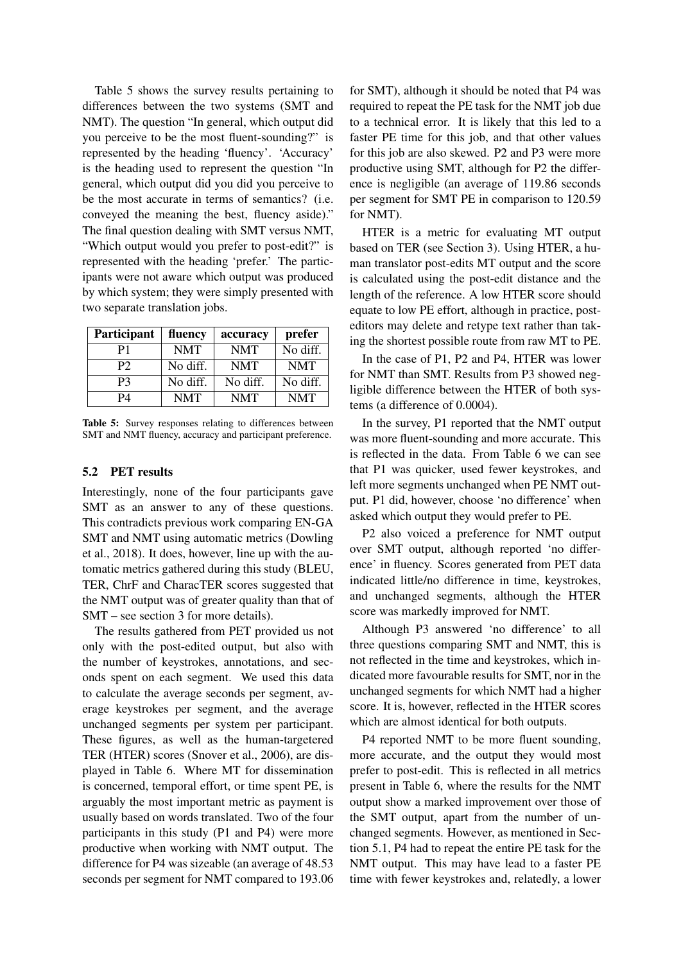Table 5 shows the survey results pertaining to differences between the two systems (SMT and NMT). The question "In general, which output did you perceive to be the most fluent-sounding?" is represented by the heading 'fluency'. 'Accuracy' is the heading used to represent the question "In general, which output did you did you perceive to be the most accurate in terms of semantics? (i.e. conveyed the meaning the best, fluency aside)." The final question dealing with SMT versus NMT, "Which output would you prefer to post-edit?" is represented with the heading 'prefer.' The participants were not aware which output was produced by which system; they were simply presented with two separate translation jobs.

| Participant    | fluency    | accuracy   | prefer     |
|----------------|------------|------------|------------|
| P1             | <b>NMT</b> | <b>NMT</b> | No diff.   |
| P <sub>2</sub> | No diff.   | <b>NMT</b> | <b>NMT</b> |
| P3             | No diff.   | No diff.   | No diff.   |
| P4             | <b>NMT</b> | <b>NMT</b> | <b>NMT</b> |

Table 5: Survey responses relating to differences between SMT and NMT fluency, accuracy and participant preference.

#### 5.2 PET results

Interestingly, none of the four participants gave SMT as an answer to any of these questions. This contradicts previous work comparing EN-GA SMT and NMT using automatic metrics (Dowling et al., 2018). It does, however, line up with the automatic metrics gathered during this study (BLEU, TER, ChrF and CharacTER scores suggested that the NMT output was of greater quality than that of SMT – see section 3 for more details).

The results gathered from PET provided us not only with the post-edited output, but also with the number of keystrokes, annotations, and seconds spent on each segment. We used this data to calculate the average seconds per segment, average keystrokes per segment, and the average unchanged segments per system per participant. These figures, as well as the human-targetered TER (HTER) scores (Snover et al., 2006), are displayed in Table 6. Where MT for dissemination is concerned, temporal effort, or time spent PE, is arguably the most important metric as payment is usually based on words translated. Two of the four participants in this study (P1 and P4) were more productive when working with NMT output. The difference for P4 was sizeable (an average of 48.53 seconds per segment for NMT compared to 193.06

for SMT), although it should be noted that P4 was required to repeat the PE task for the NMT job due to a technical error. It is likely that this led to a faster PE time for this job, and that other values for this job are also skewed. P2 and P3 were more productive using SMT, although for P2 the difference is negligible (an average of 119.86 seconds per segment for SMT PE in comparison to 120.59 for NMT).

HTER is a metric for evaluating MT output based on TER (see Section 3). Using HTER, a human translator post-edits MT output and the score is calculated using the post-edit distance and the length of the reference. A low HTER score should equate to low PE effort, although in practice, posteditors may delete and retype text rather than taking the shortest possible route from raw MT to PE.

In the case of P1, P2 and P4, HTER was lower for NMT than SMT. Results from P3 showed negligible difference between the HTER of both systems (a difference of 0.0004).

In the survey, P1 reported that the NMT output was more fluent-sounding and more accurate. This is reflected in the data. From Table 6 we can see that P1 was quicker, used fewer keystrokes, and left more segments unchanged when PE NMT output. P1 did, however, choose 'no difference' when asked which output they would prefer to PE.

P2 also voiced a preference for NMT output over SMT output, although reported 'no difference' in fluency. Scores generated from PET data indicated little/no difference in time, keystrokes, and unchanged segments, although the HTER score was markedly improved for NMT.

Although P3 answered 'no difference' to all three questions comparing SMT and NMT, this is not reflected in the time and keystrokes, which indicated more favourable results for SMT, nor in the unchanged segments for which NMT had a higher score. It is, however, reflected in the HTER scores which are almost identical for both outputs.

P4 reported NMT to be more fluent sounding, more accurate, and the output they would most prefer to post-edit. This is reflected in all metrics present in Table 6, where the results for the NMT output show a marked improvement over those of the SMT output, apart from the number of unchanged segments. However, as mentioned in Section 5.1, P4 had to repeat the entire PE task for the NMT output. This may have lead to a faster PE time with fewer keystrokes and, relatedly, a lower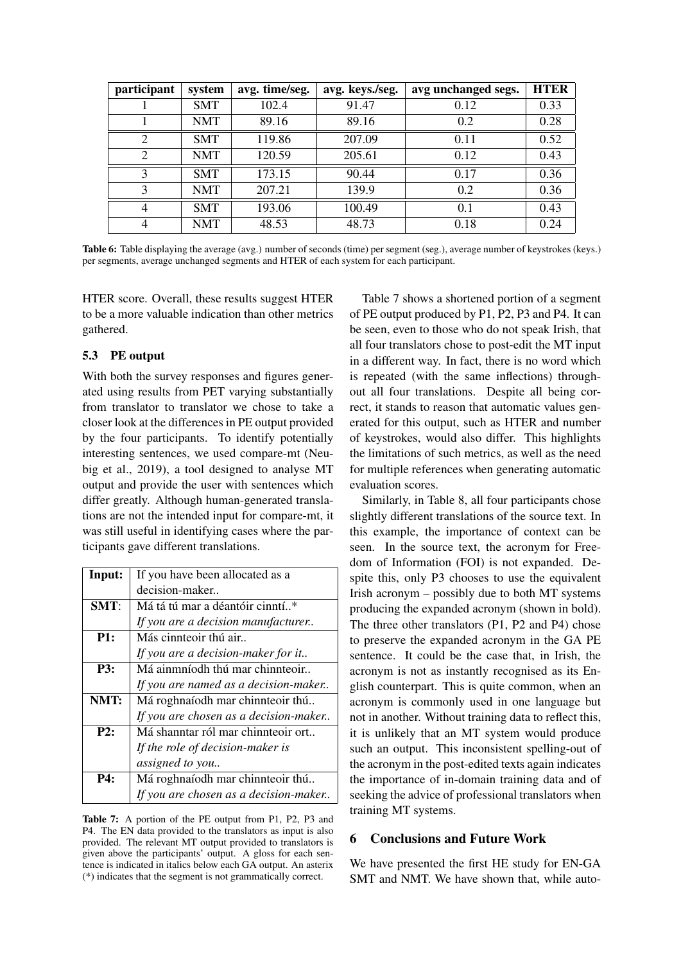| participant    | system     | avg. time/seg. | avg. keys./seg. | avg unchanged segs. | <b>HTER</b> |
|----------------|------------|----------------|-----------------|---------------------|-------------|
|                | <b>SMT</b> | 102.4          | 91.47           | 0.12                | 0.33        |
|                | <b>NMT</b> | 89.16          | 89.16           | 0.2                 | 0.28        |
| 2              | <b>SMT</b> | 119.86         | 207.09          | 0.11                | 0.52        |
| 2              | <b>NMT</b> | 120.59         | 205.61          | 0.12                | 0.43        |
| 3              | <b>SMT</b> | 173.15         | 90.44           | 0.17                | 0.36        |
| 3              | <b>NMT</b> | 207.21         | 139.9           | 0.2                 | 0.36        |
| $\overline{4}$ | <b>SMT</b> | 193.06         | 100.49          | 0.1                 | 0.43        |
| 4              | <b>NMT</b> | 48.53          | 48.73           | 0.18                | 0.24        |

Table 6: Table displaying the average (avg.) number of seconds (time) per segment (seg.), average number of keystrokes (keys.) per segments, average unchanged segments and HTER of each system for each participant.

HTER score. Overall, these results suggest HTER to be a more valuable indication than other metrics gathered.

# 5.3 PE output

With both the survey responses and figures generated using results from PET varying substantially from translator to translator we chose to take a closer look at the differences in PE output provided by the four participants. To identify potentially interesting sentences, we used compare-mt (Neubig et al., 2019), a tool designed to analyse MT output and provide the user with sentences which differ greatly. Although human-generated translations are not the intended input for compare-mt, it was still useful in identifying cases where the participants gave different translations.

| Input:     | If you have been allocated as a       |
|------------|---------------------------------------|
|            |                                       |
|            | decision-maker                        |
| $SMT$ :    | Má tá tú mar a déantóir cinntí*       |
|            | If you are a decision manufacturer    |
| P1:        | Más cinnteoir thú air                 |
|            | If you are a decision-maker for it    |
| <b>P3:</b> | Má ainmníodh thú mar chinnteoir       |
|            | If you are named as a decision-maker  |
| NMT:       | Má roghnaíodh mar chinnteoir thú      |
|            | If you are chosen as a decision-maker |
| P2:        | Má shanntar ról mar chinnteoir ort    |
|            | If the role of decision-maker is      |
|            | assigned to you                       |
| <b>P4:</b> | Má roghnaíodh mar chinnteoir thú      |
|            | If you are chosen as a decision-maker |

Table 7: A portion of the PE output from P1, P2, P3 and P4. The EN data provided to the translators as input is also provided. The relevant MT output provided to translators is given above the participants' output. A gloss for each sentence is indicated in italics below each GA output. An asterix (\*) indicates that the segment is not grammatically correct.

Table 7 shows a shortened portion of a segment of PE output produced by P1, P2, P3 and P4. It can be seen, even to those who do not speak Irish, that all four translators chose to post-edit the MT input in a different way. In fact, there is no word which is repeated (with the same inflections) throughout all four translations. Despite all being correct, it stands to reason that automatic values generated for this output, such as HTER and number of keystrokes, would also differ. This highlights the limitations of such metrics, as well as the need for multiple references when generating automatic evaluation scores.

Similarly, in Table 8, all four participants chose slightly different translations of the source text. In this example, the importance of context can be seen. In the source text, the acronym for Freedom of Information (FOI) is not expanded. Despite this, only P3 chooses to use the equivalent Irish acronym – possibly due to both MT systems producing the expanded acronym (shown in bold). The three other translators (P1, P2 and P4) chose to preserve the expanded acronym in the GA PE sentence. It could be the case that, in Irish, the acronym is not as instantly recognised as its English counterpart. This is quite common, when an acronym is commonly used in one language but not in another. Without training data to reflect this, it is unlikely that an MT system would produce such an output. This inconsistent spelling-out of the acronym in the post-edited texts again indicates the importance of in-domain training data and of seeking the advice of professional translators when training MT systems.

# 6 Conclusions and Future Work

We have presented the first HE study for EN-GA SMT and NMT. We have shown that, while auto-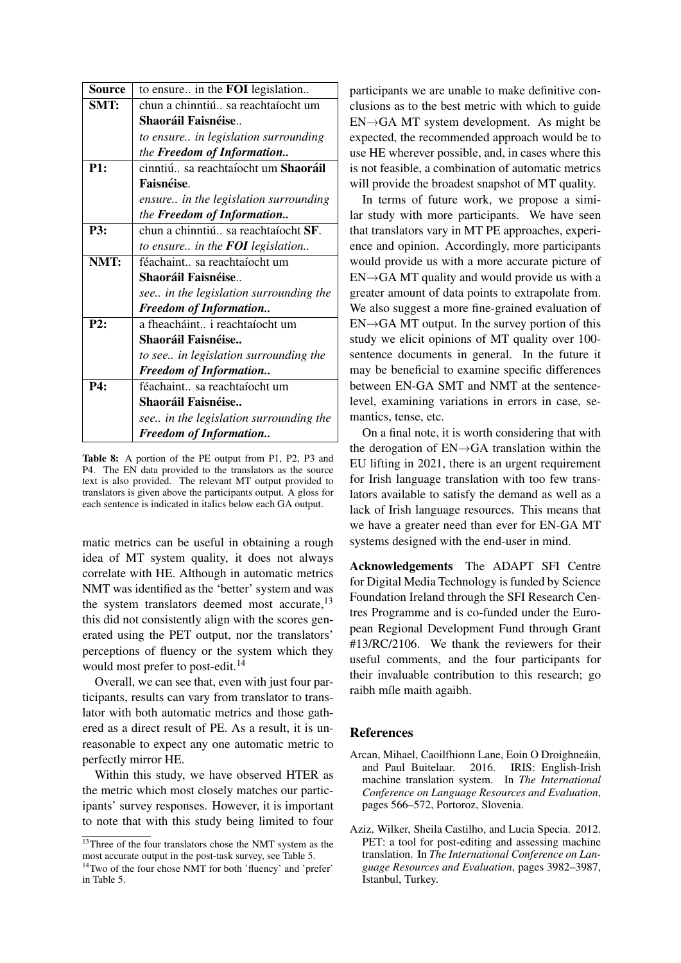| Source     | to ensure in the FOI legislation           |
|------------|--------------------------------------------|
| SMT:       | chun a chinntiú sa reachtaíocht um         |
|            | <b>Shaoráil Faisnéise</b>                  |
|            | to ensure in legislation surrounding       |
|            | the Freedom of Information                 |
| P1:        | cinntiú sa reachtaíocht um <b>Shaoráil</b> |
|            | Faisnéise.                                 |
|            | ensure in the legislation surrounding      |
|            | the <b>Freedom of Information</b>          |
| <b>P3:</b> | chun a chinntiú sa reachtaíocht SF.        |
|            | to ensure in the <b>FOI</b> legislation    |
| NMT:       | féachaint sa reachtaíocht um               |
|            | <b>Shaoráil Faisnéise</b>                  |
|            | see in the legislation surrounding the     |
|            | <b>Freedom of Information</b>              |
| P2:        | a fheacháint i reachtaíocht um             |
|            | Shaoráil Faisnéise                         |
|            | to see in legislation surrounding the      |
|            | <b>Freedom of Information</b>              |
| P4:        | féachaint sa reachtaíocht um               |
|            | Shaoráil Faisnéise                         |
|            | see in the legislation surrounding the     |
|            | <b>Freedom of Information</b>              |

Table 8: A portion of the PE output from P1, P2, P3 and P4. The EN data provided to the translators as the source text is also provided. The relevant MT output provided to translators is given above the participants output. A gloss for each sentence is indicated in italics below each GA output.

matic metrics can be useful in obtaining a rough idea of MT system quality, it does not always correlate with HE. Although in automatic metrics NMT was identified as the 'better' system and was the system translators deemed most accurate, $^{13}$ this did not consistently align with the scores generated using the PET output, nor the translators' perceptions of fluency or the system which they would most prefer to post-edit.<sup>14</sup>

Overall, we can see that, even with just four participants, results can vary from translator to translator with both automatic metrics and those gathered as a direct result of PE. As a result, it is unreasonable to expect any one automatic metric to perfectly mirror HE.

Within this study, we have observed HTER as the metric which most closely matches our participants' survey responses. However, it is important to note that with this study being limited to four

participants we are unable to make definitive conclusions as to the best metric with which to guide  $EN \rightarrow GA$  MT system development. As might be expected, the recommended approach would be to use HE wherever possible, and, in cases where this is not feasible, a combination of automatic metrics will provide the broadest snapshot of MT quality.

In terms of future work, we propose a similar study with more participants. We have seen that translators vary in MT PE approaches, experience and opinion. Accordingly, more participants would provide us with a more accurate picture of  $EN \rightarrow GA$  MT quality and would provide us with a greater amount of data points to extrapolate from. We also suggest a more fine-grained evaluation of  $EN \rightarrow GA$  MT output. In the survey portion of this study we elicit opinions of MT quality over 100 sentence documents in general. In the future it may be beneficial to examine specific differences between EN-GA SMT and NMT at the sentencelevel, examining variations in errors in case, semantics, tense, etc.

On a final note, it is worth considering that with the derogation of EN→GA translation within the EU lifting in 2021, there is an urgent requirement for Irish language translation with too few translators available to satisfy the demand as well as a lack of Irish language resources. This means that we have a greater need than ever for EN-GA MT systems designed with the end-user in mind.

Acknowledgements The ADAPT SFI Centre for Digital Media Technology is funded by Science Foundation Ireland through the SFI Research Centres Programme and is co-funded under the European Regional Development Fund through Grant #13/RC/2106. We thank the reviewers for their useful comments, and the four participants for their invaluable contribution to this research; go raibh míle maith agaibh.

## References

- Arcan, Mihael, Caoilfhionn Lane, Eoin O Droighneáin, and Paul Buitelaar. 2016. IRIS: English-Irish machine translation system. In *The International Conference on Language Resources and Evaluation*, pages 566–572, Portoroz, Slovenia.
- Aziz, Wilker, Sheila Castilho, and Lucia Specia. 2012. PET: a tool for post-editing and assessing machine translation. In *The International Conference on Language Resources and Evaluation*, pages 3982–3987, Istanbul, Turkey.

<sup>&</sup>lt;sup>13</sup>Three of the four translators chose the NMT system as the most accurate output in the post-task survey, see Table 5.

<sup>&</sup>lt;sup>14</sup>Two of the four chose NMT for both 'fluency' and 'prefer' in Table 5.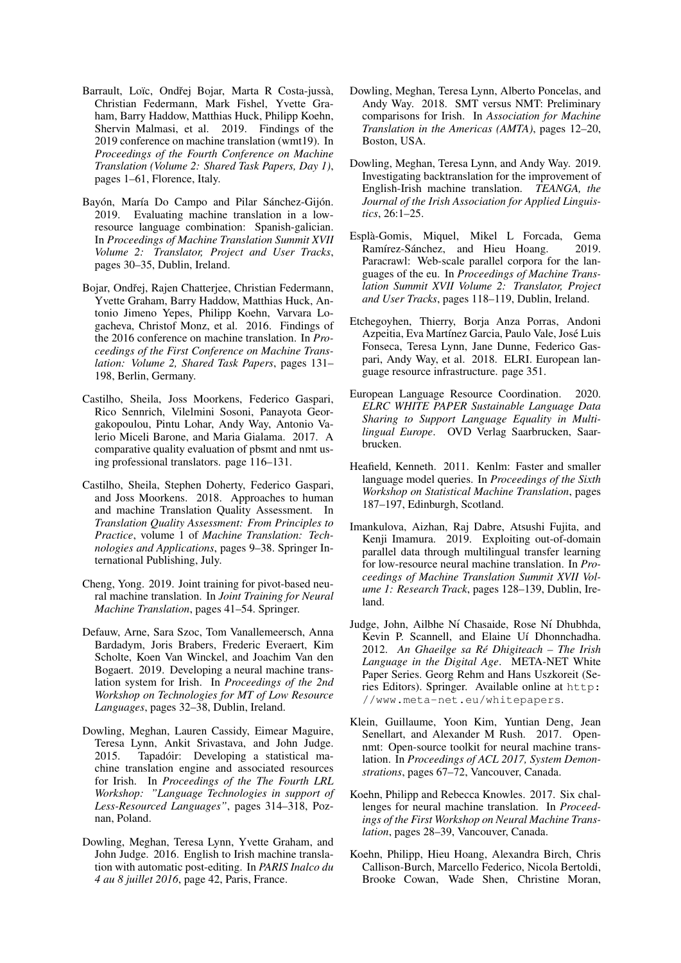- Barrault, Loïc, Ondřej Bojar, Marta R Costa-jussà, Christian Federmann, Mark Fishel, Yvette Graham, Barry Haddow, Matthias Huck, Philipp Koehn, Shervin Malmasi, et al. 2019. Findings of the 2019 conference on machine translation (wmt19). In *Proceedings of the Fourth Conference on Machine Translation (Volume 2: Shared Task Papers, Day 1)*, pages 1–61, Florence, Italy.
- Bayón, María Do Campo and Pilar Sánchez-Gijón. 2019. Evaluating machine translation in a lowresource language combination: Spanish-galician. In *Proceedings of Machine Translation Summit XVII Volume 2: Translator, Project and User Tracks*, pages 30–35, Dublin, Ireland.
- Bojar, Ondřej, Rajen Chatterjee, Christian Federmann, Yvette Graham, Barry Haddow, Matthias Huck, Antonio Jimeno Yepes, Philipp Koehn, Varvara Logacheva, Christof Monz, et al. 2016. Findings of the 2016 conference on machine translation. In *Proceedings of the First Conference on Machine Translation: Volume 2, Shared Task Papers*, pages 131– 198, Berlin, Germany.
- Castilho, Sheila, Joss Moorkens, Federico Gaspari, Rico Sennrich, Vilelmini Sosoni, Panayota Georgakopoulou, Pintu Lohar, Andy Way, Antonio Valerio Miceli Barone, and Maria Gialama. 2017. A comparative quality evaluation of pbsmt and nmt using professional translators. page 116–131.
- Castilho, Sheila, Stephen Doherty, Federico Gaspari, and Joss Moorkens. 2018. Approaches to human and machine Translation Quality Assessment. In *Translation Quality Assessment: From Principles to Practice*, volume 1 of *Machine Translation: Technologies and Applications*, pages 9–38. Springer International Publishing, July.
- Cheng, Yong. 2019. Joint training for pivot-based neural machine translation. In *Joint Training for Neural Machine Translation*, pages 41–54. Springer.
- Defauw, Arne, Sara Szoc, Tom Vanallemeersch, Anna Bardadym, Joris Brabers, Frederic Everaert, Kim Scholte, Koen Van Winckel, and Joachim Van den Bogaert. 2019. Developing a neural machine translation system for Irish. In *Proceedings of the 2nd Workshop on Technologies for MT of Low Resource Languages*, pages 32–38, Dublin, Ireland.
- Dowling, Meghan, Lauren Cassidy, Eimear Maguire, Teresa Lynn, Ankit Srivastava, and John Judge. 2015. Tapadóir: Developing a statistical machine translation engine and associated resources for Irish. In *Proceedings of the The Fourth LRL Workshop: "Language Technologies in support of Less-Resourced Languages"*, pages 314–318, Poznan, Poland.
- Dowling, Meghan, Teresa Lynn, Yvette Graham, and John Judge. 2016. English to Irish machine translation with automatic post-editing. In *PARIS Inalco du 4 au 8 juillet 2016*, page 42, Paris, France.
- Dowling, Meghan, Teresa Lynn, Alberto Poncelas, and Andy Way. 2018. SMT versus NMT: Preliminary comparisons for Irish. In *Association for Machine Translation in the Americas (AMTA)*, pages 12–20, Boston, USA.
- Dowling, Meghan, Teresa Lynn, and Andy Way. 2019. Investigating backtranslation for the improvement of English-Irish machine translation. *TEANGA, the Journal of the Irish Association for Applied Linguistics*, 26:1–25.
- Espla-Gomis, Miquel, Mikel L Forcada, Gema ` Ramírez-Sánchez, and Hieu Hoang. 2019. Paracrawl: Web-scale parallel corpora for the languages of the eu. In *Proceedings of Machine Translation Summit XVII Volume 2: Translator, Project and User Tracks*, pages 118–119, Dublin, Ireland.
- Etchegoyhen, Thierry, Borja Anza Porras, Andoni Azpeitia, Eva Martínez Garcia, Paulo Vale, José Luis Fonseca, Teresa Lynn, Jane Dunne, Federico Gaspari, Andy Way, et al. 2018. ELRI. European language resource infrastructure. page 351.
- European Language Resource Coordination. 2020. *ELRC WHITE PAPER Sustainable Language Data Sharing to Support Language Equality in Multilingual Europe*. OVD Verlag Saarbrucken, Saarbrucken.
- Heafield, Kenneth. 2011. Kenlm: Faster and smaller language model queries. In *Proceedings of the Sixth Workshop on Statistical Machine Translation*, pages 187–197, Edinburgh, Scotland.
- Imankulova, Aizhan, Raj Dabre, Atsushi Fujita, and Kenji Imamura. 2019. Exploiting out-of-domain parallel data through multilingual transfer learning for low-resource neural machine translation. In *Proceedings of Machine Translation Summit XVII Volume 1: Research Track*, pages 128–139, Dublin, Ireland.
- Judge, John, Ailbhe Ní Chasaide, Rose Ní Dhubhda, Kevin P. Scannell, and Elaine Uí Dhonnchadha. 2012. *An Ghaeilge sa Re Dhigiteach – The Irish ´ Language in the Digital Age*. META-NET White Paper Series. Georg Rehm and Hans Uszkoreit (Series Editors). Springer. Available online at http: //www.meta-net.eu/whitepapers.
- Klein, Guillaume, Yoon Kim, Yuntian Deng, Jean Senellart, and Alexander M Rush. 2017. Opennmt: Open-source toolkit for neural machine translation. In *Proceedings of ACL 2017, System Demonstrations*, pages 67–72, Vancouver, Canada.
- Koehn, Philipp and Rebecca Knowles. 2017. Six challenges for neural machine translation. In *Proceedings of the First Workshop on Neural Machine Translation*, pages 28–39, Vancouver, Canada.
- Koehn, Philipp, Hieu Hoang, Alexandra Birch, Chris Callison-Burch, Marcello Federico, Nicola Bertoldi, Brooke Cowan, Wade Shen, Christine Moran,